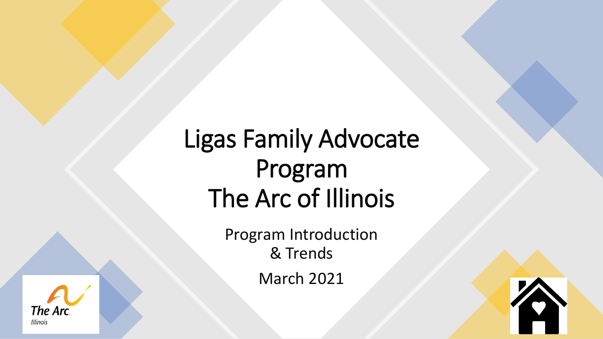# Ligas Family Advocate Program The Arc of Illinois

Program Introduction & Trends March 2021



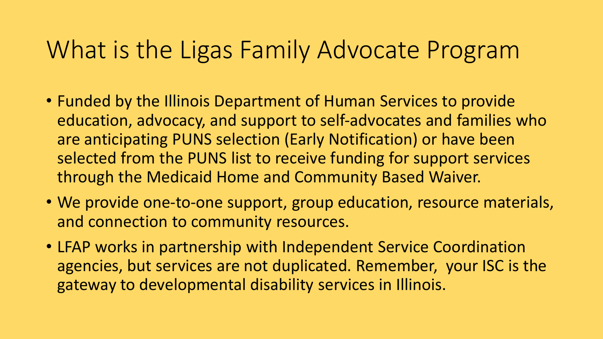## What is the Ligas Family Advocate Program

- Funded by the Illinois Department of Human Services to provide education, advocacy, and support to self-advocates and families who are anticipating PUNS selection (Early Notification) or have been selected from the PUNS list to receive funding for support services through the Medicaid Home and Community Based Waiver.
- We provide one-to-one support, group education, resource materials, and connection to community resources.
- LFAP works in partnership with Independent Service Coordination agencies, but services are not duplicated. Remember, your ISC is the gateway to developmental disability services in Illinois.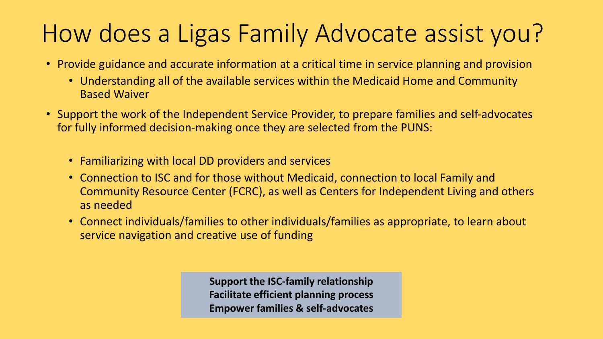# How does a Ligas Family Advocate assist you?

- Provide guidance and accurate information at a critical time in service planning and provision
	- Understanding all of the available services within the Medicaid Home and Community Based Waiver
- Support the work of the Independent Service Provider, to prepare families and self-advocates for fully informed decision-making once they are selected from the PUNS:
	- Familiarizing with local DD providers and services
	- Connection to ISC and for those without Medicaid, connection to local Family and Community Resource Center (FCRC), as well as Centers for Independent Living and others as needed
	- Connect individuals/families to other individuals/families as appropriate, to learn about service navigation and creative use of funding

**Support the ISC-family relationship Facilitate efficient planning process Empower families & self-advocates**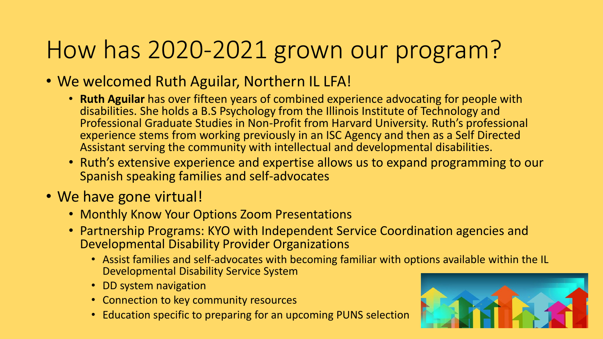# How has 2020-2021 grown our program?

- We welcomed Ruth Aguilar, Northern IL LFA!
	- **Ruth Aguilar** has over fifteen years of combined experience advocating for people with disabilities. She holds a B.S Psychology from the Illinois Institute of Technology and Professional Graduate Studies in Non-Profit from Harvard University. Ruth's professional experience stems from working previously in an ISC Agency and then as a Self Directed Assistant serving the community with intellectual and developmental disabilities.
	- Ruth's extensive experience and expertise allows us to expand programming to our Spanish speaking families and self-advocates

## • We have gone virtual!

- Monthly Know Your Options Zoom Presentations
- Partnership Programs: KYO with Independent Service Coordination agencies and Developmental Disability Provider Organizations
	- Assist families and self-advocates with becoming familiar with options available within the IL Developmental Disability Service System
	- DD system navigation
	- Connection to key community resources
	- Education specific to preparing for an upcoming PUNS selection

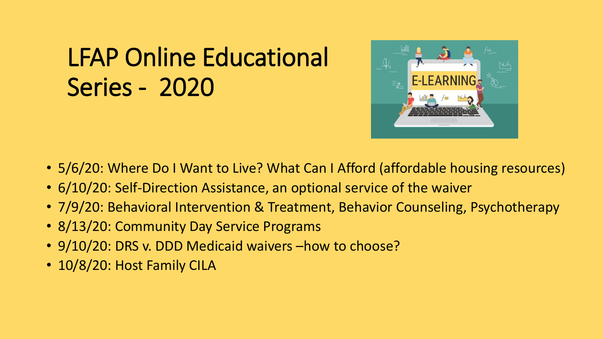# LFAP Online Educational Series - 2020



- 5/6/20: Where Do I Want to Live? What Can I Afford (affordable housing resources)
- 6/10/20: Self-Direction Assistance, an optional service of the waiver
- 7/9/20: Behavioral Intervention & Treatment, Behavior Counseling, Psychotherapy
- 8/13/20: Community Day Service Programs
- 9/10/20: DRS v. DDD Medicaid waivers –how to choose?
- 10/8/20: Host Family CILA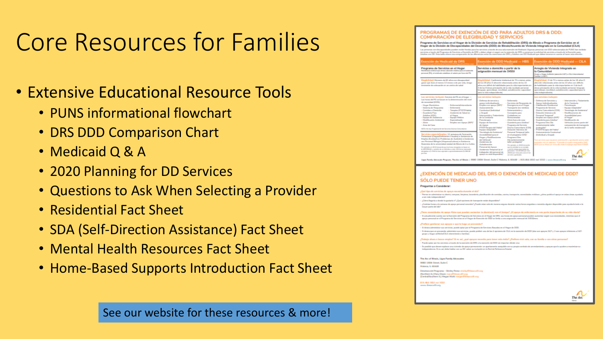# Core Resources for Families

- Extensive Educational Resource Tools
	- PUNS informational flowchart
	- DRS DDD Comparison Chart
	- Medicaid Q & A
	- 2020 Planning for DD Services
	- Questions to Ask When Selecting a Provider
	- Residential Fact Sheet
	- SDA (Self-Direction Assistance) Fact Sheet
	- Mental Health Resources Fact Sheet
	- Home-Based Supports Introduction Fact Sheet

### See our website for these resources & more!

### PROGRAMAS DE EXENCIÓN DE IDD PARA ADULTOS DRS & DDD: COMPARACIÓN DE ELEGIBILIDAD Y SERVICIOS

Programa de Servicios en el Hogar de la División de Servicios de Rehabilitación (DRS) de Illinois o Programa de Servicios en el Hogar de la División de Discapacidades del Desarrollo (DDD) de Illinois/Acuerdo de Vivienda Integrado en la Comunidad (CILA) cidades puedes resilió forsita, para los servicios a través de una sola exercíán de Medicaid. Algunas personas con (CIC solemizmadas de PUNE han e .<br>Notifica de 1993, y debreva elegór si surguér consideramentóns de 1993, a co<br>In de las alderencias, entre las manualmentos de 1993, y Adolforo con 192

| Exención de Medicaid de DRS                                                                                                                                                                                                                                                                                                                                                                                                                                                                                                                                                                    | Exención de DDD Medicaid — HBS<br>rora des mas i colora a analha                                                                                                                                                                                                                                                                                                                                                                                                                                                                                                                                                                                                                                                                                    | Exención de DDD Medicaid — CILA<br>area altres at anno il coulourem ameni Triume                                                                                                                                                                                                                                                                                                                                                                                                                                                                                                                                                                                                                             |
|------------------------------------------------------------------------------------------------------------------------------------------------------------------------------------------------------------------------------------------------------------------------------------------------------------------------------------------------------------------------------------------------------------------------------------------------------------------------------------------------------------------------------------------------------------------------------------------------|-----------------------------------------------------------------------------------------------------------------------------------------------------------------------------------------------------------------------------------------------------------------------------------------------------------------------------------------------------------------------------------------------------------------------------------------------------------------------------------------------------------------------------------------------------------------------------------------------------------------------------------------------------------------------------------------------------------------------------------------------------|--------------------------------------------------------------------------------------------------------------------------------------------------------------------------------------------------------------------------------------------------------------------------------------------------------------------------------------------------------------------------------------------------------------------------------------------------------------------------------------------------------------------------------------------------------------------------------------------------------------------------------------------------------------------------------------------------------------|
| Programa de Servicios en el Hogar<br>Mambrasia sindical qua ofrere atención máxica para el asistente<br>personal (Pil) of sindicate entaillees of salaris per hora dal PA.                                                                                                                                                                                                                                                                                                                                                                                                                     | Servicios a domicilio a partir de la<br>ssignación mensual de 2055)                                                                                                                                                                                                                                                                                                                                                                                                                                                                                                                                                                                                                                                                                 | Arregio de Vivienda Integrado en<br>la Comunidad<br>Grupp a Hogar Ankinish (atensián 247) a CLA Intermitental<br>Familian Indian's                                                                                                                                                                                                                                                                                                                                                                                                                                                                                                                                                                           |
| Elegibilidad Heners de 60 ales con disoparábel<br>grave our dure al menos 12 meses o de por vida, riesgo<br>involvemente de confessación por un construcido subud-                                                                                                                                                                                                                                                                                                                                                                                                                             | all: Confisionis: Intelectual de 70 a manus antes.<br>45 and also artists a logical interesting Club and the U.S. and also<br>allowance difficii da habilidades para la vida importantes en<br>I ale las 6 degas principales de la vida finidade personal.<br>Impain approxisate, modified, autodoración capacidad<br>para la vida independente)                                                                                                                                                                                                                                                                                                                                                                                                    | bibidad: Clair 70 a manas antes de los 18 años D.<br>about the reduction adaptation of the 22 artists can difficulty<br>the backfindages many in visita importanties, on 3 de lays il<br>dress principales de la vida buidade personal. Innovator.<br>appreciazio, monibiazi, autorizzazioni saparidazi para la<br>vida independental                                                                                                                                                                                                                                                                                                                                                                        |
| Las servicies incluyer. Service de PA en el hoge --<br>Las hones shi PA se basan en la determinación del nivel<br>de recenidad (DON).<br>- Hogar Decision<br>- Enforcemballedonadorde<br>- Kishema de Resasserás<br>- Enforcements<br>- Comidas a Dominile<br>- Tennisy PT/OTPA604<br>- Guardeck Fax<br>- Asidemic de Rabel en<br><b>John GIDO</b><br>of Hospital<br>- Equipm de Jinisteratio<br>- Equipo Midden<br>- Madificantile Ambiental<br><b>Departures</b><br>$-$ Albeits<br>- Employ part Agoga (SEPP)<br>- Area de Casa<br>NGCA Na hay Programación de Sancirios Diumus Comunitación | Los servicios incl<br>Dellenge die spesiele e-<br>- Enforcements<br>assure individualization<br>- Torrelation de Personanda de<br>Employment approve (SEPT)<br><b>Emergerate on al Hogar</b><br><b><i>Anancountering</i></b><br>- Transporte from metalized<br>Combettual Individual<br>- Entercambella y<br>Complete para<br>o Granali<br>Intervenzión y Tratamiento<br>Cuttledown no<br>de la Conducta<br>Representative<br>- Allohe home de nasa<br><b>Painting</b> and<br>· Gaussieria mana Johaban?<br>Equipment Geneticians<br>- Pennsylvania Servicia<br>de Janeiro<br>Diserve Computierio (CDS)<br><b>PUCT/Terapia del Habla?</b><br>- Detachle Internity de-<br><b>Engine Adaptable®</b>                                                   | Los servicios incluyen:<br>- Defensa de Sandoles y<br>- Intercencián y Tratamiento<br><b>Amount Individual public</b><br>de la Conducta<br><b>Habilitarillo Registeratal</b><br>- Painterprise<br>- Tourism deliveranted<br>Programa de llandole<br>Diserve Competitions (CDS)<br>- Teamslands de Jointerwist<br>- Maddisonianae de<br>Detailed blanches de<br>Accordational parts<br><b>Parsonal Temporal</b><br><b>Tongley non-Agopa (SEP)*</b><br>of Hospit<br>Guarderia sura Jobsher<br>- Maulifeanith also<br><b>Programs Obs Dis</b><br>Weblaston (comp parts sled<br>Lankerismunde lialler<br>componential de louragearla<br>de la tarifa resideratal?<br>produced and<br>- PT/OTF because she Haddef |
| 4112 semanas de Pormación<br><b>NAME AND ADDRESS</b><br>Perfectional (Corpor/Defetentes Visuales) e Jatsteroia de<br>Employ (ContinuCzen Probleman de Jacobstin) y Justainmia<br>non Personal Bilingke (Hispanov) Lettron) e Johnterolo<br>Respectives the latest convenienced existing the illimities the 3 at 6 orders.<br>Per ajanyis an 2018 (renambi que las horas drogadas as basas an<br>is held of sides) y variante de un institute a sent subtinera mensuries<br>the stability are experiments as independent of the file and the particle and<br><b>ANY PASS</b>                    | Tecnologia de Asistensia"<br><b>Personal Temporal Isilic</b><br>Accordabilities were of<br>en al programa COS/<br><b>Hagary Madificationes</b><br>- Programa Cine<br>dell'Univirude"<br>Dia jarteriamente<br>Andelermia de<br>taler pretepide?<br><b>Automatic months</b><br>Per gample, an 2018 it ensurely.<br>Personal de Agoya<br>must be a particularly the same contribution<br>y mata di la chianza gasta fanfasi lasi.<br>Senorangan i 1922 da bata any mas<br>Anisteroix Terracoul isi of<br>traingaster del personal de<br>(WAS) per most para valer on its<br>announce and shapeshirt?<br>pervision agents when<br>The Book Administration (Recko of Book) 1980 1986 Street Schult PASsers 1, DAMI 1, DIS 801-1033 and 5933 1, president | - Assumptionin Combattail<br><b>Dealtainbust y Grupoli</b><br>An arviving an result of adolesce in the periodic projection<br>manualing part on adoption. "Compulse al quadre computables DHC<br>GCC qua se ofrera en nosos dra stata il calcego asso <sup>r</sup> itam (CASI).<br>The Ar                                                                                                                                                                                                                                                                                                                                                                                                                    |

### ¿EXENCIÓN DE MEDICAID DEL DRS O EXENCIÓN DE MEDICAID DE DDD? SÓLO PUEDE TENER UNO

### **Prepuntas a Considerar**

#### af tipo da sarvicios de apoya necesita durante el diz nar en administrar su dinero, compran, limpicos, lasamánda, pla a ser más independente?

(Cilence Departing a director in constants in 7 (Civit constigues die transporting exhibit discoverible Cadatas bases a la composição prova provação de constituit. Pondo estas valor de marez

Exercídes del Programa de Escritório en el Hogar de DRI, sus horas de apro recovered de Toroisias en el Hanze de Torreide de DCO se lesta a una asimación memorial de 1931 Univ

li desea administrar sus servicios, quede optar por el Programa de Eurvicios Basados en el Hoyar de DDD It does a not up aroundle administrator can providing agents and/or one de lag if anying each CLE on is marginized in DCD bins can amount 24/7 x 2 can

#### ous love, Jac av il Tooleme men adalah Turket dengan didaran pengaran

Puede optier por los servicios a través de la mercaión de CIPII, o la mercaión de CICIO sin importar difrole vivo colorar una vivienta de apovo permanente un ap werig. It we get deter habiter compar HC selem as inclusive and a fiel de flette

#### The Arc of Binois, Ligas Family Advocate 9980 1908 Street, Suite C Mokera, E. 60648 Directora del Programa - Shirley Peesc chirted Northern L1 Mary Diego: manufitheascalit.com Cartraffic character in Massachusett and Chean collage

815-864-1932 ext 1032

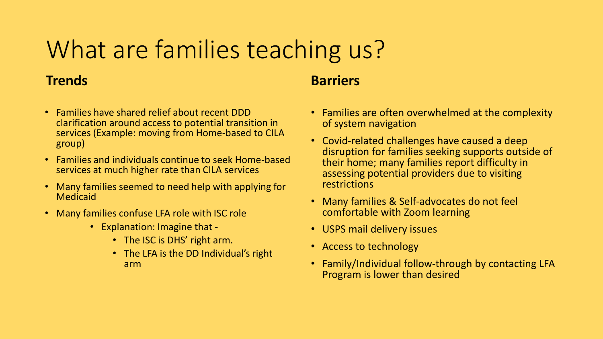# What are families teaching us?

### **Trends**

- Families have shared relief about recent DDD clarification around access to potential transition in services (Example: moving from Home-based to CILA group)
- Families and individuals continue to seek Home-based services at much higher rate than CILA services
- Many families seemed to need help with applying for Medicaid
- Many families confuse LFA role with ISC role
	- Explanation: Imagine that
		- The ISC is DHS' right arm.
		- The LFA is the DD Individual's right arm

### **Barriers**

- Families are often overwhelmed at the complexity of system navigation
- Covid-related challenges have caused a deep disruption for families seeking supports outside of their home; many families report difficulty in assessing potential providers due to visiting restrictions
- Many families & Self-advocates do not feel comfortable with Zoom learning
- USPS mail delivery issues
- Access to technology
- Family/Individual follow-through by contacting LFA Program is lower than desired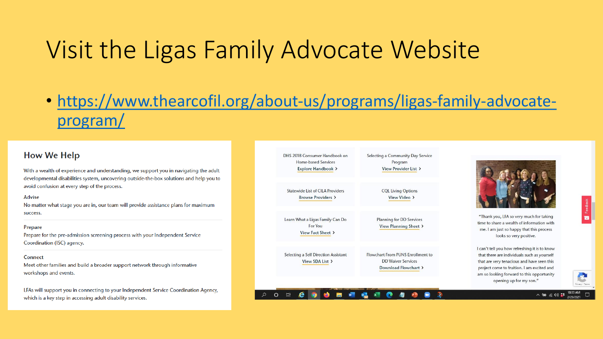# Visit the Ligas Family Advocate Website

• [https://www.thearcofil.org/about-us/programs/ligas-family-advocate](https://www.thearcofil.org/about-us/programs/ligas-family-advocate-program/)program/

### **How We Help**

With a wealth of experience and understanding, we support you in navigating the adult developmental disabilities system, uncovering outside-the-box solutions and help you to avoid confusion at every step of the process.

### Advise

No matter what stage you are in, our team will provide assistance plans for maximum success.

### Prepare

Prepare for the pre-admission screening process with your Independent Service Coordination (ISC) agency.

### Connect

Meet other families and build a broader support network through informative workshops and events.

LFAs will support you in connecting to your Independent Service Coordination Agency, which is a key step in accessing adult disability services.

| DHS 2018 Consumer Handbook on<br>Home-based Services<br>Explore Handbook > | Selecting a Community Day Service<br>Program<br>View Provider List >                   |                                                                                                                                                                                                                                                                  |
|----------------------------------------------------------------------------|----------------------------------------------------------------------------------------|------------------------------------------------------------------------------------------------------------------------------------------------------------------------------------------------------------------------------------------------------------------|
| <b>Statewide List of CILA Providers</b><br>Browse Providers >              | <b>CQL Living Options</b><br>View Video >                                              |                                                                                                                                                                                                                                                                  |
| Learn What a Ligas Family Can Do<br>For You<br>View Fact Sheet >           | <b>Planning for DD Services</b><br>View Planning Sheet >                               | "Thank you, LFA so very much for taking<br>time to share a wealth of information with<br>me. I am just so happy that this process<br>looks so very positive.                                                                                                     |
| Selecting a Self Direction Assistant<br>View SDA List >                    | Flowchart From PUNS Enrollment to<br><b>DD Waiver Services</b><br>Download Flowchart > | I can't tell you how refreshing it is to know<br>that there are individuals such as yourself<br>that are very tenacious and have seen this<br>project come to fruition. I am excited and<br>am so looking forward to this opportunity<br>opening up for my son." |





八個 后则菲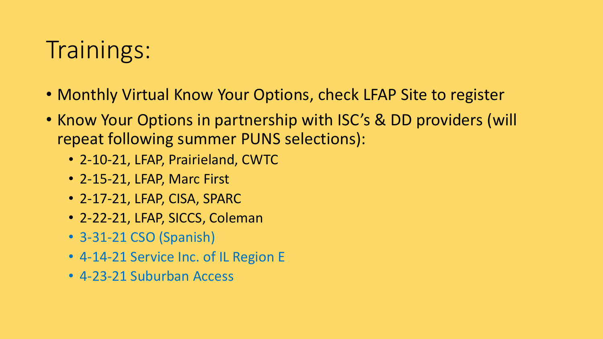# Trainings:

- Monthly Virtual Know Your Options, check LFAP Site to register
- Know Your Options in partnership with ISC's & DD providers (will repeat following summer PUNS selections):
	- 2-10-21, LFAP, Prairieland, CWTC
	- 2-15-21, LFAP, Marc First
	- 2-17-21, LFAP, CISA, SPARC
	- 2-22-21, LFAP, SICCS, Coleman
	- 3-31-21 CSO (Spanish)
	- 4-14-21 Service Inc. of IL Region E
	- 4-23-21 Suburban Access